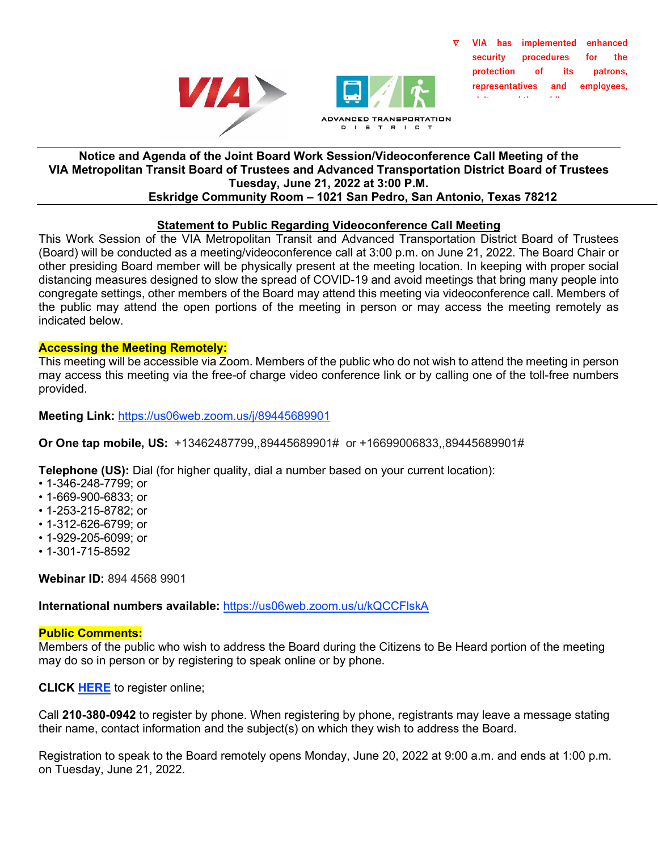



∇ **VIA has implemented enhanced security procedures for the protection of its patrons, representatives and employees, i it d th bli**

#### **Notice and Agenda of the Joint Board Work Session/Videoconference Call Meeting of the VIA Metropolitan Transit Board of Trustees and Advanced Transportation District Board of Trustees Tuesday, June 21, 2022 at 3:00 P.M. Eskridge Community Room – 1021 San Pedro, San Antonio, Texas 78212**

# **Statement to Public Regarding Videoconference Call Meeting**

This Work Session of the VIA Metropolitan Transit and Advanced Transportation District Board of Trustees (Board) will be conducted as a meeting/videoconference call at 3:00 p.m. on June 21, 2022. The Board Chair or other presiding Board member will be physically present at the meeting location. In keeping with proper social distancing measures designed to slow the spread of COVID-19 and avoid meetings that bring many people into congregate settings, other members of the Board may attend this meeting via videoconference call. Members of the public may attend the open portions of the meeting in person or may access the meeting remotely as indicated below.

### **Accessing the Meeting Remotely:**

This meeting will be accessible via Zoom. Members of the public who do not wish to attend the meeting in person may access this meeting via the free-of charge video conference link or by calling one of the toll-free numbers provided.

**Meeting Link:** [https://us06web.zoom.us/j/89445689901](https://gcc02.safelinks.protection.outlook.com/?url=https%3A%2F%2Fus06web.zoom.us%2Fj%2F89445689901&data=05%7C01%7CDebra.Longoria%40viainfo.net%7C1e697454414c4c16173808da48953dc4%7C2a3033c2ad76426c9c5a23233cde4cde%7C0%7C0%7C637902103066650128%7CUnknown%7CTWFpbGZsb3d8eyJWIjoiMC4wLjAwMDAiLCJQIjoiV2luMzIiLCJBTiI6Ik1haWwiLCJXVCI6Mn0%3D%7C3000%7C%7C%7C&sdata=79qdPd6%2Fyr9C8gSIUwNe8ajftk%2FjvV2mz2MdwfQIoHM%3D&reserved=0)

**Or One tap mobile, US:** +13462487799,,89445689901# or +16699006833,,89445689901#

**Telephone (US):** Dial (for higher quality, dial a number based on your current location):

- 1-346-248-7799; or
- 1-669-900-6833; or
- 1-253-215-8782; or
- 1-312-626-6799; or
- 1-929-205-6099; or
- 1-301-715-8592

**Webinar ID:** 894 4568 9901

**International numbers available:** [https://us06web.zoom.us/u/kQCCFlskA](https://gcc02.safelinks.protection.outlook.com/?url=https%3A%2F%2Fus06web.zoom.us%2Fu%2FkQCCFlskA&data=05%7C01%7CDebra.Longoria%40viainfo.net%7C1e697454414c4c16173808da48953dc4%7C2a3033c2ad76426c9c5a23233cde4cde%7C0%7C0%7C637902103066650128%7CUnknown%7CTWFpbGZsb3d8eyJWIjoiMC4wLjAwMDAiLCJQIjoiV2luMzIiLCJBTiI6Ik1haWwiLCJXVCI6Mn0%3D%7C3000%7C%7C%7C&sdata=BkcTMetKW3M3Pk%2BF6MZkS7gH79p0PTd4vSjYfoXMDOE%3D&reserved=0)

#### **Public Comments:**

Members of the public who wish to address the Board during the Citizens to Be Heard portion of the meeting may do so in person or by registering to speak online or by phone.

**CLICK [HERE](https://forms.office.com/g/Lcmf68R6f5)** to register online;

Call **210-380-0942** to register by phone. When registering by phone, registrants may leave a message stating their name, contact information and the subject(s) on which they wish to address the Board.

Registration to speak to the Board remotely opens Monday, June 20, 2022 at 9:00 a.m. and ends at 1:00 p.m. on Tuesday, June 21, 2022.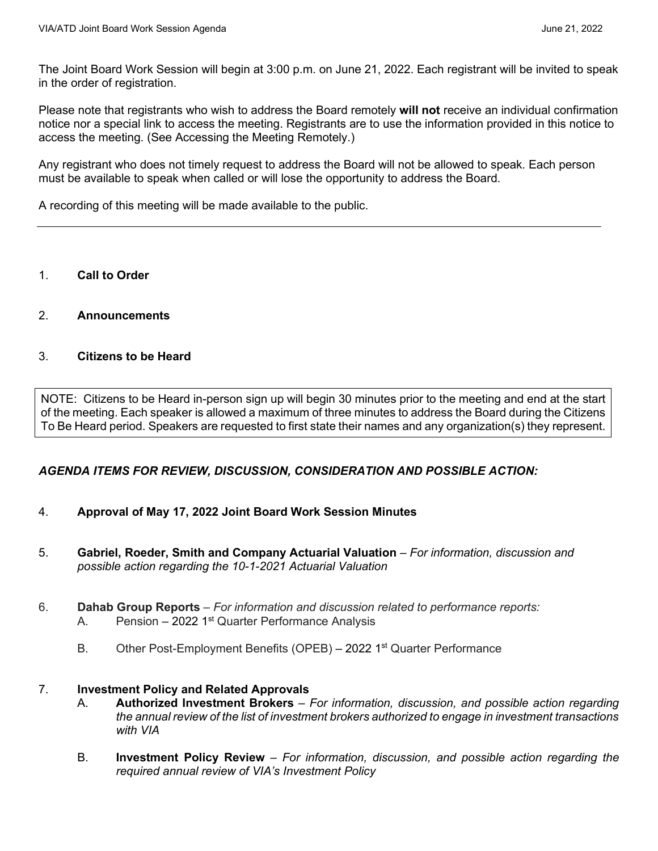The Joint Board Work Session will begin at 3:00 p.m. on June 21, 2022. Each registrant will be invited to speak in the order of registration.

Please note that registrants who wish to address the Board remotely **will not** receive an individual confirmation notice nor a special link to access the meeting. Registrants are to use the information provided in this notice to access the meeting. (See Accessing the Meeting Remotely.)

Any registrant who does not timely request to address the Board will not be allowed to speak. Each person must be available to speak when called or will lose the opportunity to address the Board.

A recording of this meeting will be made available to the public.

- 1. **Call to Order**
- 2. **Announcements**

#### 3. **Citizens to be Heard**

NOTE: Citizens to be Heard in-person sign up will begin 30 minutes prior to the meeting and end at the start of the meeting. Each speaker is allowed a maximum of three minutes to address the Board during the Citizens To Be Heard period. Speakers are requested to first state their names and any organization(s) they represent.

## *AGENDA ITEMS FOR REVIEW, DISCUSSION, CONSIDERATION AND POSSIBLE ACTION:*

- 4. **Approval of May 17, 2022 Joint Board Work Session Minutes**
- 5. **Gabriel, Roeder, Smith and Company Actuarial Valuation**  *For information, discussion and possible action regarding the 10-1-2021 Actuarial Valuation*
- 6. **Dahab Group Reports** *For information and discussion related to performance reports:* A. Pension – 2022 1<sup>st</sup> Quarter Performance Analysis
	- B. Other Post-Employment Benefits (OPEB) 2022 1<sup>st</sup> Quarter Performance

## 7. **Investment Policy and Related Approvals**

- A. **Authorized Investment Brokers** *For information, discussion, and possible action regarding the annual review of the list of investment brokers authorized to engage in investment transactions with VIA*
- B. **Investment Policy Review** *For information, discussion, and possible action regarding the required annual review of VIA's Investment Policy*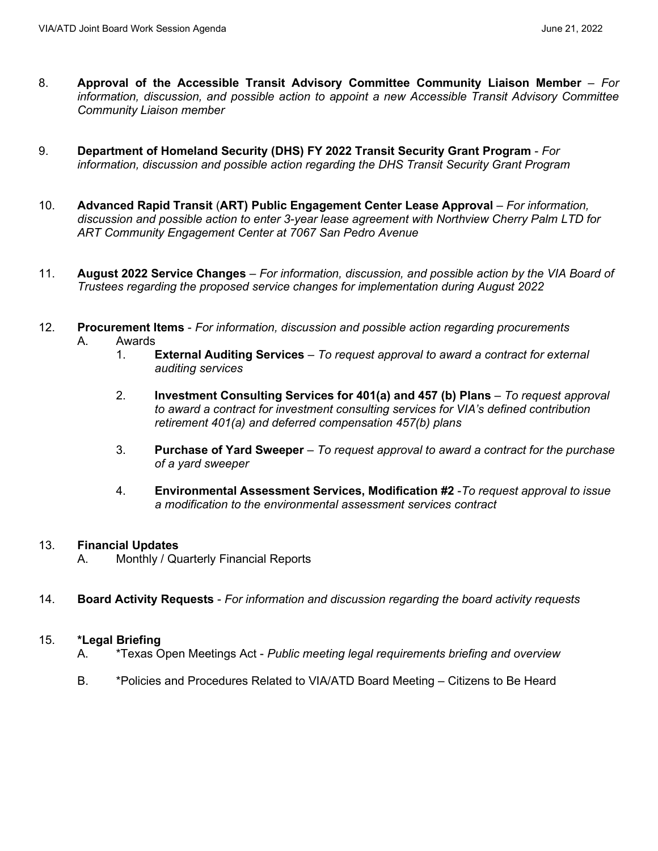- 8. **Approval of the Accessible Transit Advisory Committee Community Liaison Member** *For information, discussion, and possible action to appoint a new Accessible Transit Advisory Committee Community Liaison member*
- 9. **Department of Homeland Security (DHS) FY 2022 Transit Security Grant Program** *For information, discussion and possible action regarding the DHS Transit Security Grant Program*
- 10. Advanced Rapid Transit (ART) Public Engagement Center Lease Approval For information, *discussion and possible action to enter 3-year lease agreement with Northview Cherry Palm LTD for ART Community Engagement Center at 7067 San Pedro Avenue*
- 11. **August 2022 Service Changes**  *For information, discussion, and possible action by the VIA Board of Trustees regarding the proposed service changes for implementation during August 2022*
- 12. **Procurement Items** *For information, discussion and possible action regarding procurements* A. Awards<br>1. I
	- 1. **External Auditing Services** *To request approval to award a contract for external auditing services*
	- 2. **Investment Consulting Services for 401(a) and 457 (b) Plans** *To request approval to award a contract for investment consulting services for VIA's defined contribution retirement 401(a) and deferred compensation 457(b) plans*
	- 3. **Purchase of Yard Sweeper** *To request approval to award a contract for the purchase of a yard sweeper*
	- 4. **Environmental Assessment Services, Modification #2** -*To request approval to issue a modification to the environmental assessment services contract*

## 13. **Financial Updates**

- A. Monthly / Quarterly Financial Reports
- 14. **Board Activity Requests**  *For information and discussion regarding the board activity requests*

## 15. **\*Legal Briefing**

- A. \*Texas Open Meetings Act *Public meeting legal requirements briefing and overview*
- B. \*Policies and Procedures Related to VIA/ATD Board Meeting Citizens to Be Heard